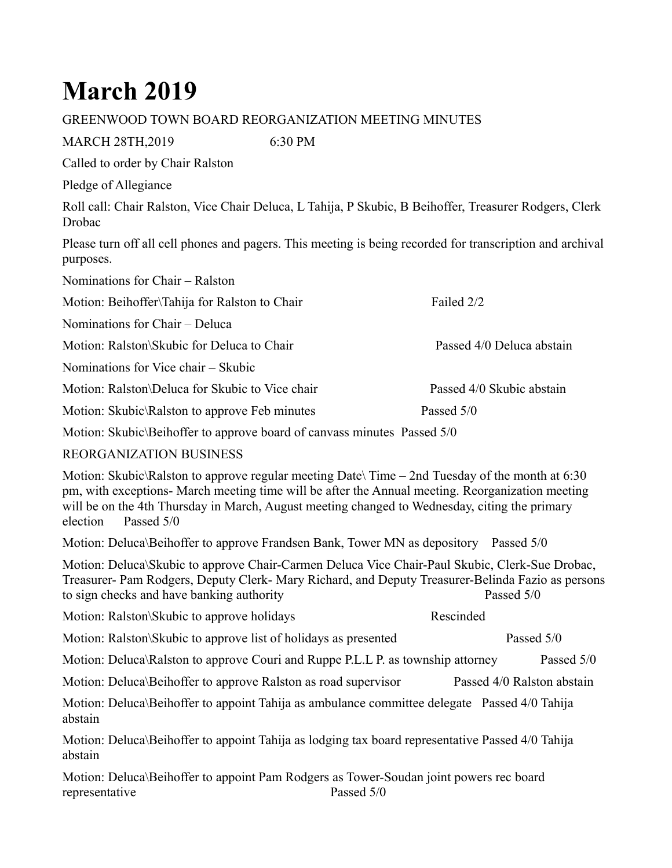## **March 2019**

## GREENWOOD TOWN BOARD REORGANIZATION MEETING MINUTES

MARCH 28TH,2019 6:30 PM

Called to order by Chair Ralston

Pledge of Allegiance

Roll call: Chair Ralston, Vice Chair Deluca, L Tahija, P Skubic, B Beihoffer, Treasurer Rodgers, Clerk Drobac

Please turn off all cell phones and pagers. This meeting is being recorded for transcription and archival purposes.

| Nominations for Chair – Ralston                 |                           |
|-------------------------------------------------|---------------------------|
| Motion: Beihoffer\Tahija for Ralston to Chair   | Failed 2/2                |
| Nominations for Chair – Deluca                  |                           |
| Motion: Ralston\Skubic for Deluca to Chair      | Passed 4/0 Deluca abstain |
| Nominations for Vice chair – Skubic             |                           |
| Motion: Ralston\Deluca for Skubic to Vice chair | Passed 4/0 Skubic abstain |
| Motion: Skubic\Ralston to approve Feb minutes   | Passed 5/0                |
|                                                 |                           |

Motion: Skubic\Beihoffer to approve board of canvass minutes Passed 5/0

## REORGANIZATION BUSINESS

Motion: Skubic\Ralston to approve regular meeting Date\ Time – 2nd Tuesday of the month at 6:30 pm, with exceptions- March meeting time will be after the Annual meeting. Reorganization meeting will be on the 4th Thursday in March, August meeting changed to Wednesday, citing the primary election Passed 5/0

Motion: Deluca\Beihoffer to approve Frandsen Bank, Tower MN as depository Passed 5/0

Motion: Deluca\Skubic to approve Chair-Carmen Deluca Vice Chair-Paul Skubic, Clerk-Sue Drobac, Treasurer- Pam Rodgers, Deputy Clerk- Mary Richard, and Deputy Treasurer-Belinda Fazio as persons to sign checks and have banking authority Passed 5/0

| Motion: Ralston\Skubic to approve holidays                      | Rescinded |            |  |
|-----------------------------------------------------------------|-----------|------------|--|
| Motion: Ralston\Skubic to approve list of holidays as presented |           | Passed 5/0 |  |

Motion: Deluca\Ralston to approve Couri and Ruppe P.L.L P. as township attorney Passed 5/0

Motion: Deluca\Beihoffer to approve Ralston as road supervisor Passed 4/0 Ralston abstain

Motion: Deluca\Beihoffer to appoint Tahija as ambulance committee delegate Passed 4/0 Tahija abstain

Motion: Deluca\Beihoffer to appoint Tahija as lodging tax board representative Passed 4/0 Tahija abstain

Motion: Deluca\Beihoffer to appoint Pam Rodgers as Tower-Soudan joint powers rec board representative Passed 5/0